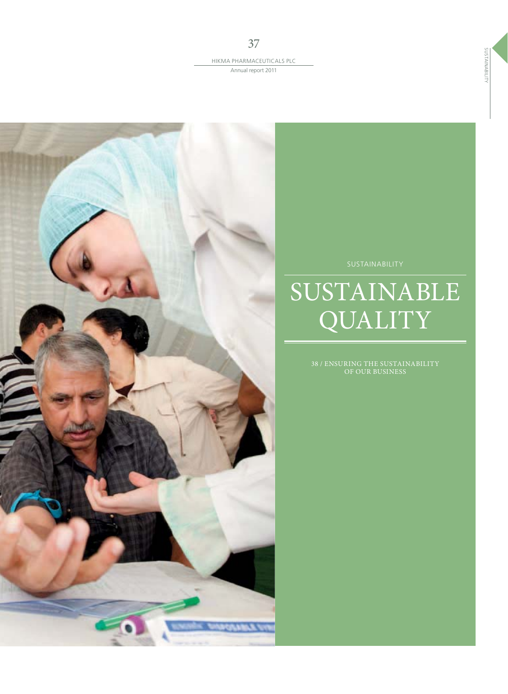37



# SUSTAINABLE **QUALITY**

38 / ENSURING THE SUSTAINABILITY OF OUR BUSINESS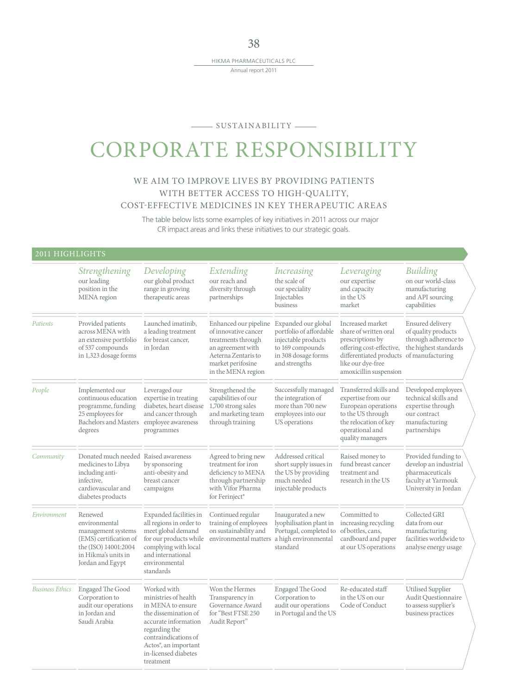#### SUSTAINABILITY

## CORPORATE RESPONSIBILITY

### WE AIM TO IMPROVE LIVES BY PROVIDING PATIENTS WITH BETTER ACCESS TO HIGH-QUALITY, COST-EFFECTIVE MEDICINES IN KEY THERAPEUTIC AREAS

The table below lists some examples of key initiatives in 2011 across our major CR impact areas and links these initiatives to our strategic goals.

### 2011 HIGHLIGHTS

|                        | Strengthening<br>our leading<br>position in the<br>MENA region                                                                              | Developing<br>our global product<br>range in growing<br>therapeutic areas                                                                                                                                                   | Extending<br>our reach and<br>diversity through<br>partnerships                                                                                            | <b>Increasing</b><br>the scale of<br>our speciality<br>Injectables<br>business                                                    | Leveraging<br>our expertise<br>and capacity<br>in the US<br>market                                                                                                                   | <b>Building</b><br>on our world-class<br>manufacturing<br>and API sourcing<br>capabilities                        |
|------------------------|---------------------------------------------------------------------------------------------------------------------------------------------|-----------------------------------------------------------------------------------------------------------------------------------------------------------------------------------------------------------------------------|------------------------------------------------------------------------------------------------------------------------------------------------------------|-----------------------------------------------------------------------------------------------------------------------------------|--------------------------------------------------------------------------------------------------------------------------------------------------------------------------------------|-------------------------------------------------------------------------------------------------------------------|
| Patients               | Provided patients<br>across MENA with<br>an extensive portfolio<br>of 537 compounds<br>in 1,323 dosage forms                                | Launched imatinib,<br>a leading treatment<br>for breast cancer,<br>in Jordan                                                                                                                                                | Enhanced our pipeline<br>of innovative cancer<br>treatments through<br>an agreement with<br>Aeterna Zentaris to<br>market perifosine<br>in the MENA region | Expanded our global<br>portfolio of affordable<br>injectable products<br>to 169 compounds<br>in 308 dosage forms<br>and strengths | Increased market<br>share of written oral<br>prescriptions by<br>offering cost-effective,<br>differentiated products of manufacturing<br>like our dye-free<br>amoxicillin suspension | Ensured delivery<br>of quality products<br>through adherence to<br>the highest standards                          |
| People                 | Implemented our<br>continuous education<br>programme, funding<br>25 employees for<br><b>Bachelors and Masters</b><br>degrees                | Leveraged our<br>expertise in treating<br>diabetes, heart disease<br>and cancer through<br>employee awareness<br>programmes                                                                                                 | Strengthened the<br>capabilities of our<br>1,700 strong sales<br>and marketing team<br>through training                                                    | Successfully managed<br>the integration of<br>more than 700 new<br>employees into our<br>US operations                            | Transferred skills and<br>expertise from our<br>European operations<br>to the US through<br>the relocation of key<br>operational and<br>quality managers                             | Developed employees<br>technical skills and<br>expertise through<br>our contract<br>manufacturing<br>partnerships |
| Community              | Donated much needed Raised awareness<br>medicines to Libya<br>including anti-<br>infective.<br>cardiovascular and<br>diabetes products      | by sponsoring<br>anti-obesity and<br>breast cancer<br>campaigns                                                                                                                                                             | Agreed to bring new<br>treatment for iron<br>deficiency to MENA<br>through partnership<br>with Vifor Pharma<br>for Ferinject®                              | Addressed critical<br>short supply issues in<br>the US by providing<br>much needed<br>injectable products                         | Raised money to<br>fund breast cancer<br>treatment and<br>research in the US                                                                                                         | Provided funding to<br>develop an industrial<br>pharmaceuticals<br>faculty at Yarmouk<br>University in Jordan     |
| Environment            | Renewed<br>environmental<br>management systems<br>(EMS) certification of<br>the (ISO) 14001:2004<br>in Hikma's units in<br>Jordan and Egypt | Expanded facilities in<br>all regions in order to<br>meet global demand<br>for our products while<br>complying with local<br>and international<br>environmental<br>standards                                                | Continued regular<br>training of employees<br>on sustainability and<br>environmental matters a high environmental                                          | Inaugurated a new<br>lyophilisation plant in<br>Portugal, completed to<br>standard                                                | Committed to<br>increasing recycling<br>of bottles, cans,<br>cardboard and paper<br>at our US operations                                                                             | Collected GRI<br>data from our<br>manufacturing<br>facilities worldwide to<br>analyse energy usage                |
| <b>Business Ethics</b> | Engaged The Good<br>Corporation to<br>audit our operations<br>in Jordan and<br>Saudi Arabia                                                 | Worked with<br>ministries of health<br>in MENA to ensure<br>the dissemination of<br>accurate information<br>regarding the<br>contraindications of<br>Actos <sup>®</sup> , an important<br>in-licensed diabetes<br>treatment | Won the Hermes<br>Transparency in<br>Governance Award<br>for "Best FTSE 250<br>Audit Report"                                                               | Engaged The Good<br>Corporation to<br>audit our operations<br>in Portugal and the US                                              | Re-educated staff<br>in the US on our<br>Code of Conduct                                                                                                                             | <b>Utilised Supplier</b><br><b>Audit Questionnaire</b><br>to assess supplier's<br>business practices              |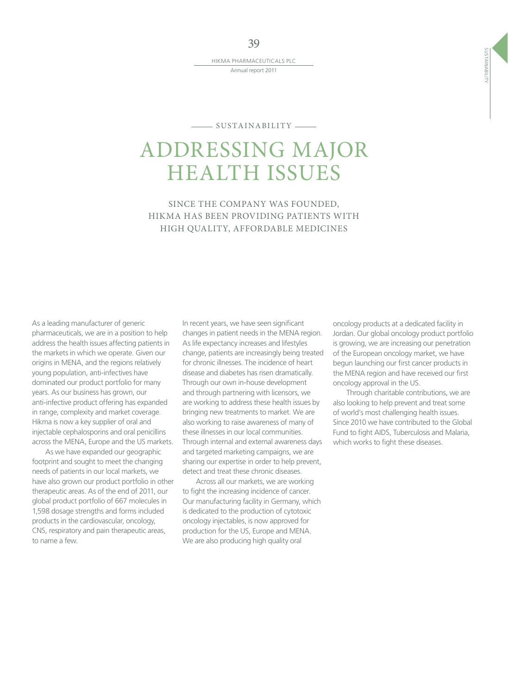39

HIKMA PHARMACEUTICALS PLC Annual report 2011

 $-$  SUSTAINABILITY  $-$ 

## ADDRESSING MAJOR HEALTH ISSUES

SINCE THE COMPANY WAS FOUNDED, HIKMA HAS BEEN PROVIDING PATIENTS WITH HIGH QUALITY, AFFORDABLE MEDICINES

As a leading manufacturer of generic pharmaceuticals, we are in a position to help address the health issues affecting patients in the markets in which we operate. Given our origins in MENA, and the regions relatively young population, anti-infectives have dominated our product portfolio for many years. As our business has grown, our anti-infective product offering has expanded in range, complexity and market coverage. Hikma is now a key supplier of oral and injectable cephalosporins and oral penicillins across the MENA, Europe and the US markets.

As we have expanded our geographic footprint and sought to meet the changing needs of patients in our local markets, we have also grown our product portfolio in other therapeutic areas. As of the end of 2011, our global product portfolio of 667 molecules in 1,598 dosage strengths and forms included products in the cardiovascular, oncology, CNS, respiratory and pain therapeutic areas, to name a few.

In recent years, we have seen significant changes in patient needs in the MENA region. As life expectancy increases and lifestyles change, patients are increasingly being treated for chronic illnesses. The incidence of heart disease and diabetes has risen dramatically. Through our own in-house development and through partnering with licensors, we are working to address these health issues by bringing new treatments to market. We are also working to raise awareness of many of these illnesses in our local communities. Through internal and external awareness days and targeted marketing campaigns, we are sharing our expertise in order to help prevent, detect and treat these chronic diseases.

Across all our markets, we are working to fight the increasing incidence of cancer. Our manufacturing facility in Germany, which is dedicated to the production of cytotoxic oncology injectables, is now approved for production for the US, Europe and MENA. We are also producing high quality oral

oncology products at a dedicated facility in Jordan. Our global oncology product portfolio is growing, we are increasing our penetration of the European oncology market, we have begun launching our first cancer products in the MENA region and have received our first oncology approval in the US.

Through charitable contributions, we are also looking to help prevent and treat some of world's most challenging health issues. Since 2010 we have contributed to the Global Fund to fight AIDS, Tuberculosis and Malaria, which works to fight these diseases.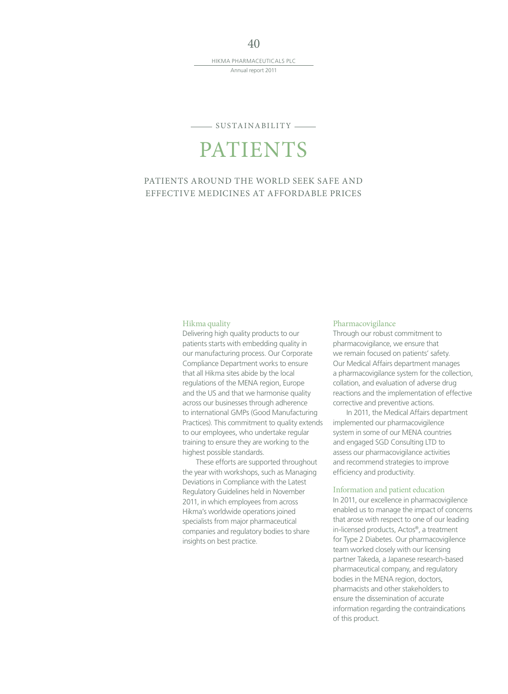#### $SUSTAINABILITY$   $\longrightarrow$

## PATIENTS

### PATIENTS AROUND THE WORLD SEEK SAFE AND EFFECTIVE MEDICINES AT AFFORDABLE PRICES

#### Hikma quality

Delivering high quality products to our patients starts with embedding quality in our manufacturing process. Our Corporate Compliance Department works to ensure that all Hikma sites abide by the local regulations of the MENA region, Europe and the US and that we harmonise quality across our businesses through adherence to international GMPs (Good Manufacturing Practices). This commitment to quality extends to our employees, who undertake regular training to ensure they are working to the highest possible standards.

These efforts are supported throughout the year with workshops, such as Managing Deviations in Compliance with the Latest Regulatory Guidelines held in November 2011, in which employees from across Hikma's worldwide operations joined specialists from major pharmaceutical companies and regulatory bodies to share insights on best practice.

#### Pharmacovigilance

Through our robust commitment to pharmacovigilance, we ensure that we remain focused on patients' safety. Our Medical Affairs department manages a pharmacovigilance system for the collection, collation, and evaluation of adverse drug reactions and the implementation of effective corrective and preventive actions.

In 2011, the Medical Affairs department implemented our pharmacovigilence system in some of our MENA countries and engaged SGD Consulting LTD to assess our pharmacovigilance activities and recommend strategies to improve efficiency and productivity.

#### Information and patient education

In 2011, our excellence in pharmacovigilence enabled us to manage the impact of concerns that arose with respect to one of our leading in-licensed products, Actos®, a treatment for Type 2 Diabetes. Our pharmacovigilence team worked closely with our licensing partner Takeda, a Japanese research-based pharmaceutical company, and regulatory bodies in the MENA region, doctors, pharmacists and other stakeholders to ensure the dissemination of accurate information regarding the contraindications of this product.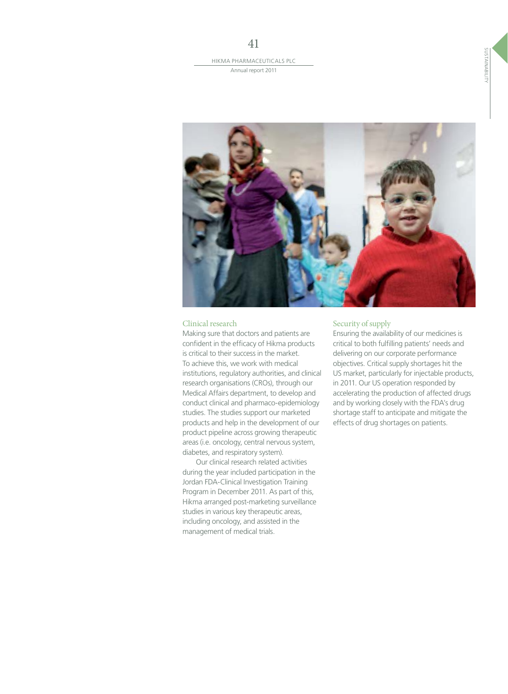

#### Clinical research

Making sure that doctors and patients are confident in the efficacy of Hikma products is critical to their success in the market. To achieve this, we work with medical institutions, regulatory authorities, and clinical research organisations (CROs), through our Medical Affairs department, to develop and conduct clinical and pharmaco-epidemiology studies. The studies support our marketed products and help in the development of our product pipeline across growing therapeutic areas (i.e. oncology, central nervous system, diabetes, and respiratory system).

Our clinical research related activities during the year included participation in the Jordan FDA-Clinical Investigation Training Program in December 2011. As part of this, Hikma arranged post-marketing surveillance studies in various key therapeutic areas, including oncology, and assisted in the management of medical trials.

#### Security of supply

Ensuring the availability of our medicines is critical to both fulfilling patients' needs and delivering on our corporate performance objectives. Critical supply shortages hit the US market, particularly for injectable products, in 2011. Our US operation responded by accelerating the production of affected drugs and by working closely with the FDA's drug shortage staff to anticipate and mitigate the effects of drug shortages on patients.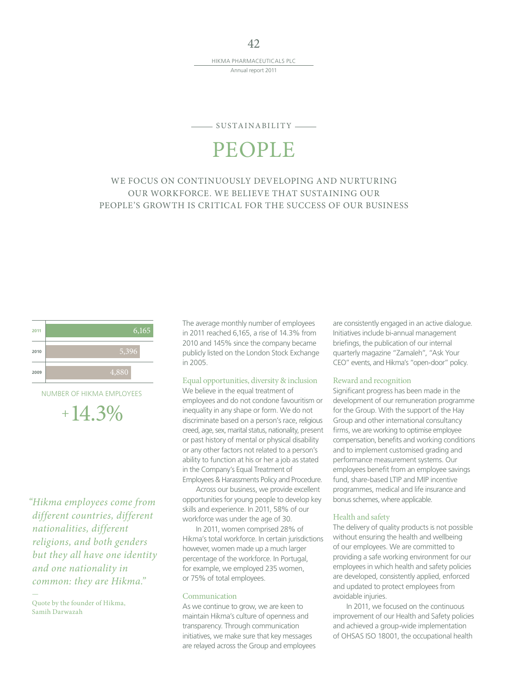42

#### $-$  SUSTAINABILITY  $-$

## PEOPLE

### WE FOCUS ON CONTINUOUSLY DEVELOPING AND NURTURING OUR WORKFORCE. WE BELIEVE THAT SUSTAINING OUR PEOPLE'S GROWTH IS CRITICAL FOR THE SUCCESS OF OUR BUSINESS



NUMBER OF HIKMA EMPLOYEES

 $+14.3%$ 

"Hikma employees come from different countries, different nationalities, different religions, and both genders but they all have one identity and one nationality in common: they are Hikma."

—

The average monthly number of employees in 2011 reached 6,165, a rise of 14.3% from 2010 and 145% since the company became publicly listed on the London Stock Exchange in 2005.

#### Equal opportunities, diversity & inclusion

We believe in the equal treatment of employees and do not condone favouritism or inequality in any shape or form. We do not discriminate based on a person's race, religious creed, age, sex, marital status, nationality, present or past history of mental or physical disability or any other factors not related to a person's ability to function at his or her a job as stated in the Company's Equal Treatment of Employees & Harassments Policy and Procedure.

Across our business, we provide excellent opportunities for young people to develop key skills and experience. In 2011, 58% of our workforce was under the age of 30.

In 2011, women comprised 28% of Hikma's total workforce. In certain jurisdictions however, women made up a much larger percentage of the workforce. In Portugal, for example, we employed 235 women, or 75% of total employees.

#### Communication

As we continue to grow, we are keen to maintain Hikma's culture of openness and transparency. Through communication initiatives, we make sure that key messages are relayed across the Group and employees are consistently engaged in an active dialogue. Initiatives include bi-annual management briefings, the publication of our internal quarterly magazine "Zamaleh", "Ask Your CEO" events, and Hikma's "open-door" policy.

#### Reward and recognition

Significant progress has been made in the development of our remuneration programme for the Group. With the support of the Hay Group and other international consultancy firms, we are working to optimise employee compensation, benefits and working conditions and to implement customised grading and performance measurement systems. Our employees benefit from an employee savings fund, share-based LTIP and MIP incentive programmes, medical and life insurance and bonus schemes, where applicable.

#### Health and safety

The delivery of quality products is not possible without ensuring the health and wellbeing of our employees. We are committed to providing a safe working environment for our employees in which health and safety policies are developed, consistently applied, enforced and updated to protect employees from avoidable injuries.

In 2011, we focused on the continuous improvement of our Health and Safety policies and achieved a group-wide implementation of OHSAS ISO 18001, the occupational health

Quote by the founder of Hikma, Samih Darwazah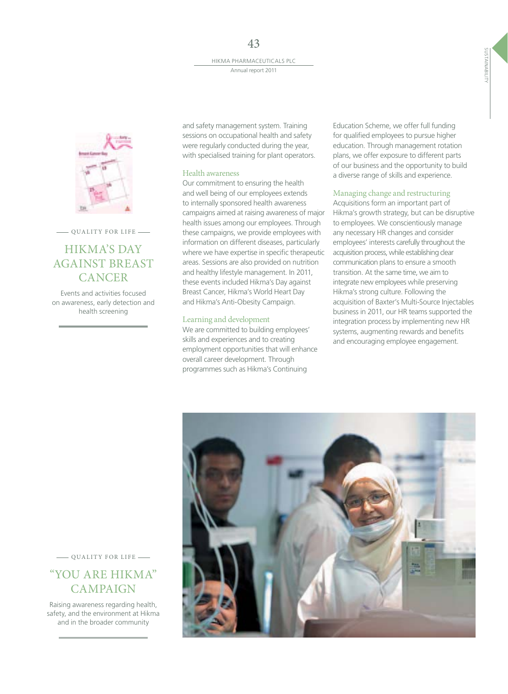

- QUALITY FOR LIFE -

## HIKMA'S DAY AGAINST BREAST **CANCER**

Events and activities focused on awareness, early detection and health screening

and safety management system. Training sessions on occupational health and safety were regularly conducted during the year, with specialised training for plant operators.

#### Health awareness

Our commitment to ensuring the health and well being of our employees extends to internally sponsored health awareness campaigns aimed at raising awareness of major health issues among our employees. Through these campaigns, we provide employees with information on different diseases, particularly where we have expertise in specific therapeutic areas. Sessions are also provided on nutrition and healthy lifestyle management. In 2011, these events included Hikma's Day against Breast Cancer, Hikma's World Heart Day and Hikma's Anti-Obesity Campaign.

#### Learning and development

We are committed to building employees' skills and experiences and to creating employment opportunities that will enhance overall career development. Through programmes such as Hikma's Continuing

Education Scheme, we offer full funding for qualified employees to pursue higher education. Through management rotation plans, we offer exposure to different parts of our business and the opportunity to build a diverse range of skills and experience.

#### Managing change and restructuring

Acquisitions form an important part of Hikma's growth strategy, but can be disruptive to employees. We conscientiously manage any necessary HR changes and consider employees' interests carefully throughout the acquisition process, while establishing clear communication plans to ensure a smooth transition. At the same time, we aim to integrate new employees while preserving Hikma's strong culture. Following the acquisition of Baxter's Multi-Source Injectables business in 2011, our HR teams supported the integration process by implementing new HR systems, augmenting rewards and benefits and encouraging employee engagement.



**QUALITY FOR LIFE** 

## "YOU ARE HIKMA" CAMPAIGN

Raising awareness regarding health, safety, and the environment at Hikma and in the broader community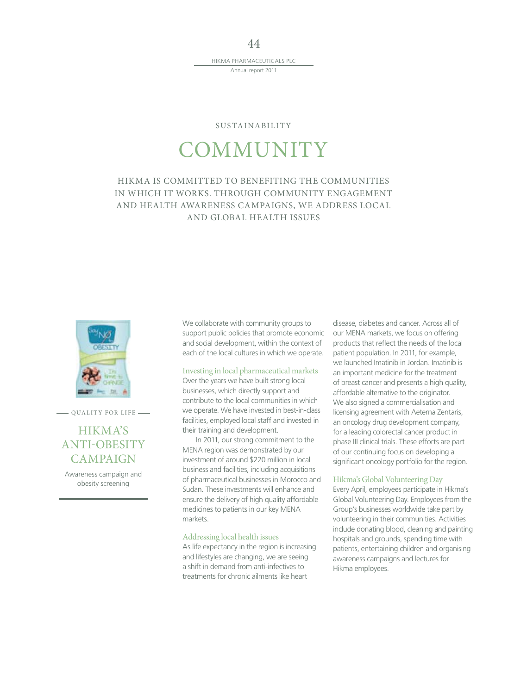## $-$  SUSTAINABILITY  $-$ **COMMUNITY**

### HIKMA IS COMMITTED TO BENEFITING THE COMMUNITIES IN WHICH IT WORKS. THROUGH COMMUNITY ENGAGEMENT AND HEALTH AWARENESS CAMPAIGNS, WE ADDRESS LOCAL AND GLOBAL HEALTH ISSUES



**QUALITY FOR LIFE** 

## HIKMA'S ANTI-OBESITY **CAMPAIGN**

Awareness campaign and obesity screening

We collaborate with community groups to support public policies that promote economic and social development, within the context of each of the local cultures in which we operate.

#### Investing in local pharmaceutical markets

Over the years we have built strong local businesses, which directly support and contribute to the local communities in which we operate. We have invested in best-in-class facilities, employed local staff and invested in their training and development.

In 2011, our strong commitment to the MENA region was demonstrated by our investment of around \$220 million in local business and facilities, including acquisitions of pharmaceutical businesses in Morocco and Sudan. These investments will enhance and ensure the delivery of high quality affordable medicines to patients in our key MENA markets.

#### Addressing local health issues

As life expectancy in the region is increasing and lifestyles are changing, we are seeing a shift in demand from anti-infectives to treatments for chronic ailments like heart

disease, diabetes and cancer. Across all of our MENA markets, we focus on offering products that reflect the needs of the local patient population. In 2011, for example, we launched Imatinib in Jordan. Imatinib is an important medicine for the treatment of breast cancer and presents a high quality, affordable alternative to the originator. We also signed a commercialisation and licensing agreement with Aeterna Zentaris, an oncology drug development company, for a leading colorectal cancer product in phase III clinical trials. These efforts are part of our continuing focus on developing a significant oncology portfolio for the region.

#### Hikma's Global Volunteering Day

Every April, employees participate in Hikma's Global Volunteering Day. Employees from the Group's businesses worldwide take part by volunteering in their communities. Activities include donating blood, cleaning and painting hospitals and grounds, spending time with patients, entertaining children and organising awareness campaigns and lectures for Hikma employees.